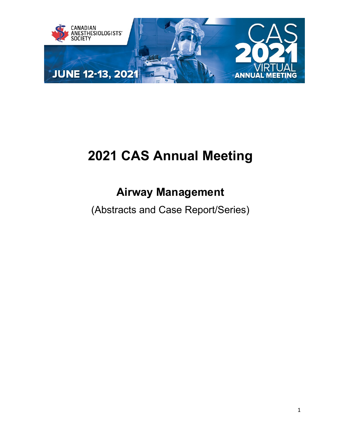

# **2021 CAS Annual Meeting**

## **Airway Management**

(Abstracts and Case Report/Series)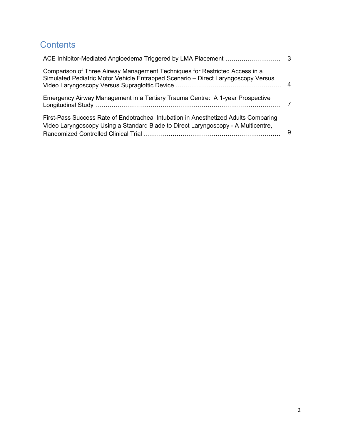### **Contents**

| Comparison of Three Airway Management Techniques for Restricted Access in a<br>Simulated Pediatric Motor Vehicle Entrapped Scenario - Direct Laryngoscopy Versus         | 4 |
|--------------------------------------------------------------------------------------------------------------------------------------------------------------------------|---|
| Emergency Airway Management in a Tertiary Trauma Centre: A 1-year Prospective                                                                                            | 7 |
| First-Pass Success Rate of Endotracheal Intubation in Anesthetized Adults Comparing<br>Video Laryngoscopy Using a Standard Blade to Direct Laryngoscopy - A Multicentre, | 9 |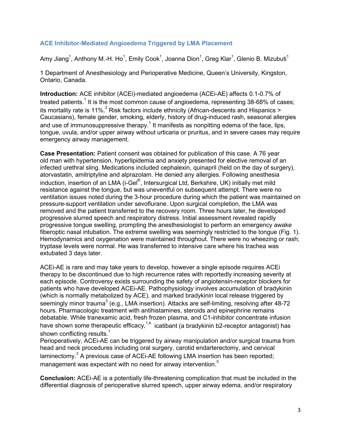#### <span id="page-2-0"></span>**ACE Inhibitor-Mediated Angioedema Triggered by LMA Placement**

Amy Jiang $^1$ , Anthony M.-H. Ho $^1$ , Emily Cook $^1$ , Joanna Dion $^1$ , Greg Klar $^1$ , Glenio B. Mizubuti $^1$ 

1 Department of Anesthesiology and Perioperative Medicine, Queen's University, Kingston, Ontario, Canada.

**Introduction:** ACE inhibitor (ACEi)-mediated angioedema (ACEi-AE) affects 0.1-0.7% of treated patients.<sup>1</sup> It is the most common cause of angioedema, representing 38-68% of cases; its mortality rate is 11%.<sup>2</sup> Risk factors include ethnicity (African-descents and Hispanics > Caucasians), female gender, smoking, elderly, history of drug-induced rash, seasonal allergies and use of immunosuppressive therapy.<sup>1</sup> It manifests as nonpitting edema of the face, lips, tongue, uvula, and/or upper airway without urticaria or pruritus, and in severe cases may require emergency airway management.

**Case Presentation:** Patient consent was obtained for publication of this case. A 76 year old man with hypertension, hyperlipidemia and anxiety presented for elective removal of an infected urethral sling. Medications included cephalexin, quinapril (held on the day of surgery), atorvastatin, amitriptyline and alprazolam. He denied any allergies. Following anesthesia induction, insertion of an LMA (i-Gel $^\circ$ , Intersurgical Ltd, Berkshire, UK) initially met mild resistance against the tongue, but was uneventful on subsequent attempt. There were no ventilation issues noted during the 3-hour procedure during which the patient was maintained on pressure-support ventilation under sevoflurane. Upon surgical completion, the LMA was removed and the patient transferred to the recovery room. Three hours later, he developed progressive slurred speech and respiratory distress. Initial assessment revealed rapidly progressive tongue swelling, prompting the anesthesiologist to perform an emergency awake fiberoptic nasal intubation. The extreme swelling was seemingly restricted to the tongue (Fig. 1). Hemodynamics and oxygenation were maintained throughout. There were no wheezing or rash; tryptase levels were normal. He was transferred to intensive care where his trachea was extubated 3 days later.

ACEi-AE is rare and may take years to develop, however a single episode requires ACEi therapy to be discontinued due to high recurrence rates with reportedly increasing severity at each episode. Controversy exists surrounding the safety of angiotensin-receptor blockers for patients who have developed ACEi-AE. Pathophysiology involves accumulation of bradykinin (which is normally metabolized by ACE), and marked bradykinin local release triggered by seemingly minor trauma<sup>3</sup> (e.g., LMA insertion). Attacks are self-limiting, resolving after 48-72 hours. Pharmacologic treatment with antihistamines, steroids and epinephrine remains debatable. While tranexamic acid, fresh frozen plasma, and C1-inhibitor concentrate infusion have shown some therapeutic efficacy,<sup>1,4</sup> icatibant (a bradykinin b2-receptor antagonist) has shown conflicting results. $<sup>1</sup>$ </sup>

Perioperatively, ACEI-AE can be triggered by airway manipulation and/or surgical trauma from head and neck procedures including oral surgery, carotid endarterectomy, and cervical laminectomy. $3$  A previous case of ACEi-AE following LMA insertion has been reported; management was expectant with no need for airway intervention.<sup>5</sup>

**Conclusion:** ACEi-AE is a potentially life-threatening complication that must be included in the differential diagnosis of perioperative slurred speech, upper airway edema, and/or respiratory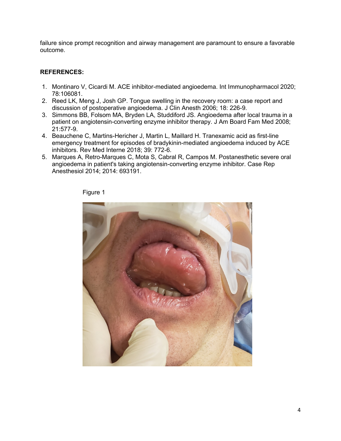failure since prompt recognition and airway management are paramount to ensure a favorable outcome.

#### **REFERENCES:**

- 1. Montinaro V, Cicardi M. ACE inhibitor-mediated angioedema. Int Immunopharmacol 2020; 78:106081.
- 2. Reed LK, Meng J, Josh GP. Tongue swelling in the recovery room: a case report and discussion of postoperative angioedema. J Clin Anesth 2006; 18: 226-9.
- 3. Simmons BB, Folsom MA, Bryden LA, Studdiford JS. Angioedema after local trauma in a patient on angiotensin-converting enzyme inhibitor therapy. J Am Board Fam Med 2008; 21:577-9.
- 4. Beauchene C, Martins-Hericher J, Martin L, Maillard H. Tranexamic acid as first-line emergency treatment for episodes of bradykinin-mediated angioedema induced by ACE inhibitors. Rev Med Interne 2018; 39: 772-6.
- 5. Marques A, Retro-Marques C, Mota S, Cabral R, Campos M. Postanesthetic severe oral angioedema in patient's taking angiotensin-converting enzyme inhibitor. Case Rep Anesthesiol 2014; 2014: 693191.



Figure 1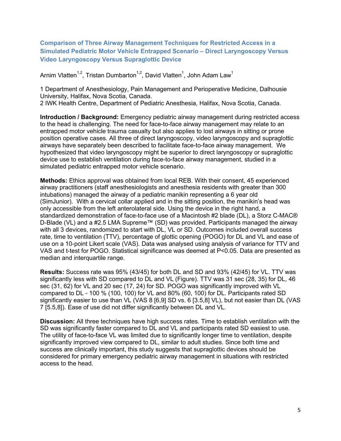<span id="page-4-0"></span>**Comparison of Three Airway Management Techniques for Restricted Access in a Simulated Pediatric Motor Vehicle Entrapped Scenario – Direct Laryngoscopy Versus Video Laryngoscopy Versus Supraglottic Device**

Arnim Vlatten $^{1,2}$ , Tristan Dumbarton $^{1,2}$ , David Vlatten $^{1}$ , John Adam Law $^{1}$ 

1 Department of Anesthesiology, Pain Management and Perioperative Medicine, Dalhousie University, Halifax, Nova Scotia, Canada. 2 IWK Health Centre, Department of Pediatric Anesthesia, Halifax, Nova Scotia, Canada.

**Introduction / Background:** Emergency pediatric airway management during restricted access to the head is challenging. The need for face-to-face airway management may relate to an entrapped motor vehicle trauma casualty but also applies to lost airways in sitting or prone position operative cases. All three of direct laryngoscopy, video laryngoscopy and supraglottic airways have separately been described to facilitate face-to-face airway management. We hypothesized that video laryngoscopy might be superior to direct laryngoscopy or supraglottic device use to establish ventilation during face-to-face airway management, studied in a simulated pediatric entrapped motor vehicle scenario.

**Methods:** Ethics approval was obtained from local REB. With their consent, 45 experienced airway practitioners (staff anesthesiologists and anesthesia residents with greater than 300 intubations) managed the airway of a pediatric manikin representing a 6 year old (SimJunior). With a cervical collar applied and in the sitting position, the manikin's head was only accessible from the left anterolateral side. Using the device in the right hand, a standardized demonstration of face-to-face use of a Macintosh #2 blade (DL), a Storz C-MAC® D-Blade (VL) and a #2.5 LMA Supreme™ (SD) was provided. Participants managed the airway with all 3 devices, randomized to start with DL, VL or SD. Outcomes included overall success rate, time to ventilation (TTV), percentage of glottic opening (POGO) for DL and VL and ease of use on a 10-point Likert scale (VAS). Data was analysed using analysis of variance for TTV and VAS and t-test for POGO. Statistical significance was deemed at P<0.05. Data are presented as median and interquartile range.

**Results:** Success rate was 95% (43/45) for both DL and SD and 93% (42/45) for VL. TTV was significantly less with SD compared to DL and VL (Figure). TTV was 31 sec (28, 35) for DL, 46 sec (31, 62) for VL and 20 sec (17, 24) for SD. POGO was significantly improved with VL compared to DL - 100 % (100, 100) for VL and 80% (60, 100) for DL. Participants rated SD significantly easier to use than VL (VAS 8 [6,9] SD vs. 6 [3.5,8] VL), but not easier than DL (VAS 7 [5.5,8]). Ease of use did not differ significantly between DL and VL.

**Discussion:** All three techniques have high success rates. Time to establish ventilation with the SD was significantly faster compared to DL and VL and participants rated SD easiest to use. The utility of face-to-face VL was limited due to significantly longer time to ventilation, despite significantly improved view compared to DL, similar to adult studies. Since both time and success are clinically important, this study suggests that supraglottic devices should be considered for primary emergency pediatric airway management in situations with restricted access to the head.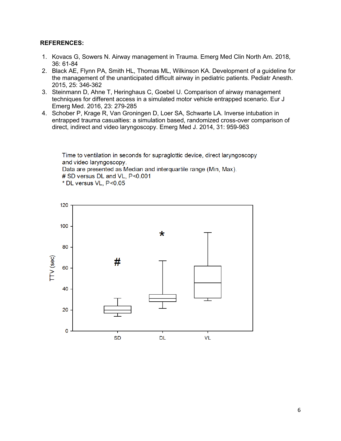#### **REFERENCES:**

- 1. Kovacs G, Sowers N. Airway management in Trauma. Emerg Med Clin North Am. 2018, 36: 61-84
- 2. Black AE, Flynn PA, Smith HL, Thomas ML, Wilkinson KA. Development of a guideline for the management of the unanticipated difficult airway in pediatric patients. Pediatr Anesth. 2015, 25: 346-362
- 3. Steinmann D, Ahne T, Heringhaus C, Goebel U. Comparison of airway management techniques for different access in a simulated motor vehicle entrapped scenario. Eur J Emerg Med. 2016, 23: 279-285
- 4. Schober P, Krage R, Van Groningen D, Loer SA, Schwarte LA. Inverse intubation in entrapped trauma casualties: a simulation based, randomized cross-over comparison of direct, indirect and video laryngoscopy. Emerg Med J. 2014, 31: 959-963

Time to ventilation in seconds for supraglottic device, direct laryngoscopy and video laryngoscopy. Data are presented as Median and interguartile range (Min. Max). # SD versus DL and VL, P<0.001 \* DL versus VL, P<0.05

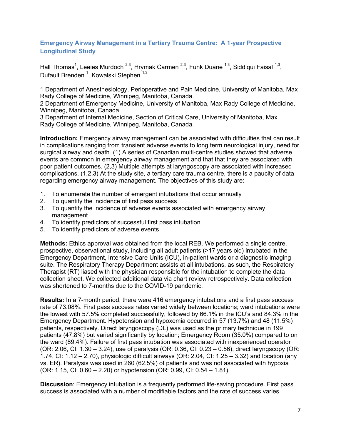#### <span id="page-6-0"></span>**Emergency Airway Management in a Tertiary Trauma Centre: A 1-year Prospective Longitudinal Study**

Hall Thomas<sup>1</sup>, Leeies Murdoch <sup>2,3</sup>, Hrymak Carmen <sup>2,3</sup>, Funk Duane <sup>1,3</sup>, Siddiqui Faisal <sup>1,3</sup>, Dufault Brenden <sup>1</sup>, Kowalski Stephen <sup>1,3</sup>

1 Department of Anesthesiology, Perioperative and Pain Medicine, University of Manitoba, Max Rady College of Medicine, Winnipeg, Manitoba, Canada.

2 Department of Emergency Medicine, University of Manitoba, Max Rady College of Medicine, Winnipeg, Manitoba, Canada.

3 Department of Internal Medicine, Section of Critical Care, University of Manitoba, Max Rady College of Medicine, Winnipeg, Manitoba, Canada.

**Introduction:** Emergency airway management can be associated with difficulties that can result in complications ranging from transient adverse events to long term neurological injury, need for surgical airway and death. (1) A series of Canadian multi-centre studies showed that adverse events are common in emergency airway management and that that they are associated with poor patient outcomes. (2,3) Multiple attempts at laryngoscopy are associated with increased complications. (1,2,3) At the study site, a tertiary care trauma centre, there is a paucity of data regarding emergency airway management. The objectives of this study are:

- 1. To enumerate the number of emergent intubations that occur annually
- 2. To quantify the incidence of first pass success
- 3. To quantify the incidence of adverse events associated with emergency airway management
- 4. To identify predictors of successful first pass intubation
- 5. To identify predictors of adverse events

**Methods:** Ethics approval was obtained from the local REB. We performed a single centre, prospective, observational study, including all adult patients (>17 years old) intubated in the Emergency Department, Intensive Care Units (ICU), in-patient wards or a diagnostic imaging suite. The Respiratory Therapy Department assists at all intubations, as such, the Respiratory Therapist (RT) liased with the physician responsible for the intubation to complete the data collection sheet. We collected additional data via chart review retrospectively. Data collection was shortened to 7-months due to the COVID-19 pandemic.

**Results:** In a 7-month period, there were 416 emergency intubations and a first pass success rate of 73.08%. First pass success rates varied widely between locations; ward intubations were the lowest with 57.5% completed successfully, followed by 66.1% in the ICU's and 84.3% in the Emergency Department. Hypotension and hypoxemia occurred in 57 (13.7%) and 48 (11.5%) patients, respectively. Direct laryngoscopy (DL) was used as the primary technique in 199 patients (47.8%) but varied significantly by location; Emergency Room (35.0%) compared to on the ward (89.4%). Failure of first pass intubation was associated with inexperienced operator (OR: 2.06, CI: 1.30 – 3.24), use of paralysis (OR: 0.36, CI: 0.23 – 0.56), direct laryngscopy (OR: 1.74, CI: 1.12 – 2.70), physiologic difficult airways (OR: 2.04, CI: 1.25 – 3.32) and location (any vs. ER). Paralysis was used in 260 (62.5%) of patients and was not associated with hypoxia (OR: 1.15, CI: 0.60 – 2.20) or hypotension (OR: 0.99, CI: 0.54 – 1.81).

**Discussion**: Emergency intubation is a frequently performed life-saving procedure. First pass success is associated with a number of modifiable factors and the rate of success varies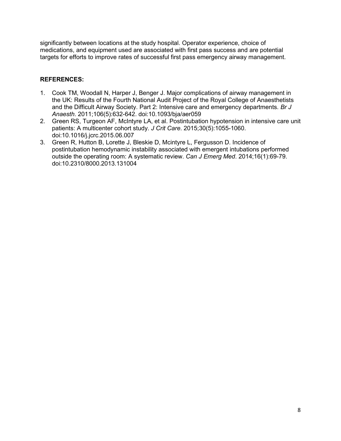significantly between locations at the study hospital. Operator experience, choice of medications, and equipment used are associated with first pass success and are potential targets for efforts to improve rates of successful first pass emergency airway management.

#### **REFERENCES:**

- 1. Cook TM, Woodall N, Harper J, Benger J. Major complications of airway management in the UK: Results of the Fourth National Audit Project of the Royal College of Anaesthetists and the Difficult Airway Society. Part 2: Intensive care and emergency departments. *Br J Anaesth*. 2011;106(5):632-642. doi:10.1093/bja/aer059
- 2. Green RS, Turgeon AF, McIntyre LA, et al. Postintubation hypotension in intensive care unit patients: A multicenter cohort study. *J Crit Care*. 2015;30(5):1055-1060. doi:10.1016/j.jcrc.2015.06.007
- 3. Green R, Hutton B, Lorette J, Bleskie D, Mcintyre L, Fergusson D. Incidence of postintubation hemodynamic instability associated with emergent intubations performed outside the operating room: A systematic review. *Can J Emerg Med*. 2014;16(1):69-79. doi:10.2310/8000.2013.131004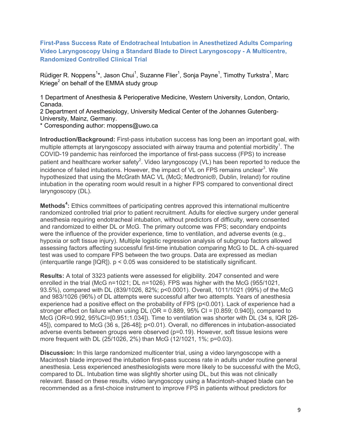<span id="page-8-0"></span>**First-Pass Success Rate of Endotracheal Intubation in Anesthetized Adults Comparing Video Laryngoscopy Using a Standard Blade to Direct Laryngoscopy - A Multicentre, Randomized Controlled Clinical Trial**

Rüdiger R. Noppens $^{\textsf{1}\star}$ , Jason Chui $^{\textsf{1}}$ , Suzanne Flier $^{\textsf{1}}$ , Sonja Payne $^{\textsf{1}}$ , Timothy Turkstra $^{\textsf{1}}$ , Marc Kriege<sup>2</sup> on behalf of the EMMA study group

1 Department of Anesthesia & Perioperative Medicine, Western University, London, Ontario, Canada.

2 Department of Anesthesiology, University Medical Center of the Johannes Gutenberg-University, Mainz, Germany.

\* Corresponding author: rnoppens@uwo.ca

**Introduction/Background:** First-pass intubation success has long been an important goal, with multiple attempts at laryngoscopy associated with airway trauma and potential morbidity $^{\rm 1}.$  The COVID-19 pandemic has reinforced the importance of first-pass success (FPS) to increase patient and healthcare worker safety $^2$ . Video laryngoscopy (VL) has been reported to reduce the incidence of failed intubations. However, the impact of VL on FPS remains unclear $^3$ . We hypothesized that using the McGrath MAC VL (McG; Medtronic®, Dublin, Ireland) for routine intubation in the operating room would result in a higher FPS compared to conventional direct laryngoscopy (DL).

**Methods<sup>4</sup>:** Ethics committees of participating centres approved this international multicentre randomized controlled trial prior to patient recruitment. Adults for elective surgery under general anesthesia requiring endotracheal intubation, without predictors of difficulty, were consented and randomized to either DL or McG. The primary outcome was FPS; secondary endpoints were the influence of the provider experience, time to ventilation, and adverse events (e.g., hypoxia or soft tissue injury). Multiple logistic regression analysis of subgroup factors allowed assessing factors affecting successful first-time intubation comparing McG to DL. A chi-squared test was used to compare FPS between the two groups. Data are expressed as median (interquartile range  $[IQR]$ ).  $p < 0.05$  was considered to be statistically significant.

**Results:** A total of 3323 patients were assessed for eligibility. 2047 consented and were enrolled in the trial (McG n=1021; DL n=1026). FPS was higher with the McG (955/1021, 93.5%), compared with DL (839/1026, 82%; p<0.0001). Overall, 1011/1021 (99%) of the McG and 983/1026 (96%) of DL attempts were successful after two attempts. Years of anesthesia experience had a positive effect on the probability of FPS (p<0.001). Lack of experience had a stronger effect on failure when using DL (OR = 0.889, 95% CI = [0.859; 0.940]), compared to McG (OR=0.992, 95%CI=[0.951;1.034]). Time to ventilation was shorter with DL (34 s, IQR [26- 45]), compared to McG (36 s, [26-48]; p<0.01). Overall, no differences in intubation-associated adverse events between groups were observed (p=0.19). However, soft tissue lesions were more frequent with DL (25/1026, 2%) than McG (12/1021, 1%; p=0.03).

**Discussion:** In this large randomized multicenter trial, using a video laryngoscope with a Macintosh blade improved the intubation first-pass success rate in adults under routine general anesthesia. Less experienced anesthesiologists were more likely to be successful with the McG, compared to DL. Intubation time was slightly shorter using DL, but this was not clinically relevant. Based on these results, video laryngoscopy using a Macintosh-shaped blade can be recommended as a first-choice instrument to improve FPS in patients without predictors for